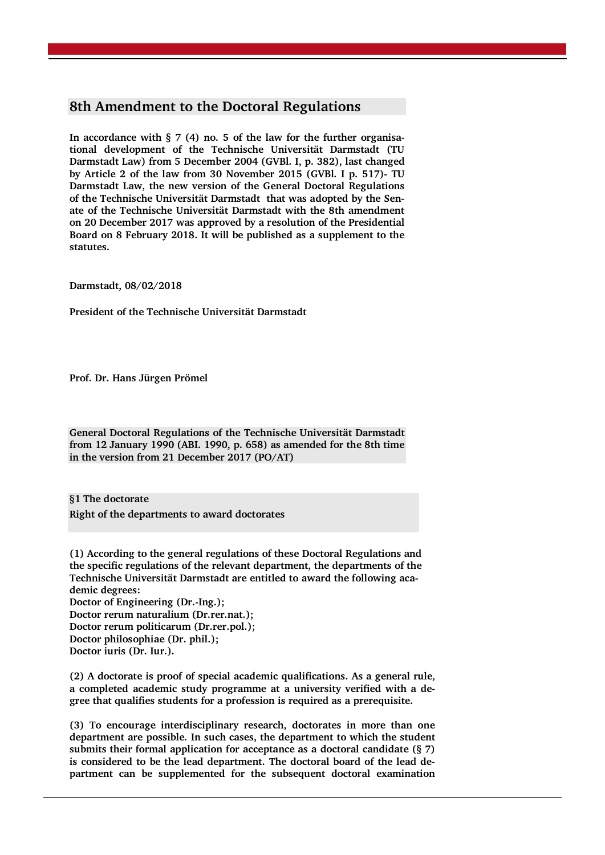# **8th Amendment to the Doctoral Regulations**

**In accordance with § 7 (4) no. 5 of the law for the further organisational development of the Technische Universität Darmstadt (TU Darmstadt Law) from 5 December 2004 (GVBl. I, p. 382), last changed by Article 2 of the law from 30 November 2015 (GVBl. I p. 517)- TU Darmstadt Law, the new version of the General Doctoral Regulations of the Technische Universität Darmstadt that was adopted by the Senate of the Technische Universität Darmstadt with the 8th amendment on 20 December 2017 was approved by a resolution of the Presidential Board on 8 February 2018. It will be published as a supplement to the statutes.** 

**Darmstadt, 08/02/2018**

**President of the Technische Universität Darmstadt** 

**Prof. Dr. Hans Jürgen Prömel**

**General Doctoral Regulations of the Technische Universität Darmstadt from 12 January 1990 (ABI. 1990, p. 658) as amended for the 8th time in the version from 21 December 2017 (PO/AT)**

**§1 The doctorate Right of the departments to award doctorates**

**(1) According to the general regulations of these Doctoral Regulations and the specific regulations of the relevant department, the departments of the Technische Universität Darmstadt are entitled to award the following academic degrees: Doctor of Engineering (Dr.-Ing.); Doctor rerum naturalium (Dr.rer.nat.); Doctor rerum politicarum (Dr.rer.pol.); Doctor philosophiae (Dr. phil.); Doctor iuris (Dr. Iur.).**

**(2) A doctorate is proof of special academic qualifications. As a general rule, a completed academic study programme at a university verified with a degree that qualifies students for a profession is required as a prerequisite.**

**(3) To encourage interdisciplinary research, doctorates in more than one department are possible. In such cases, the department to which the student submits their formal application for acceptance as a doctoral candidate (§ 7) is considered to be the lead department. The doctoral board of the lead department can be supplemented for the subsequent doctoral examination**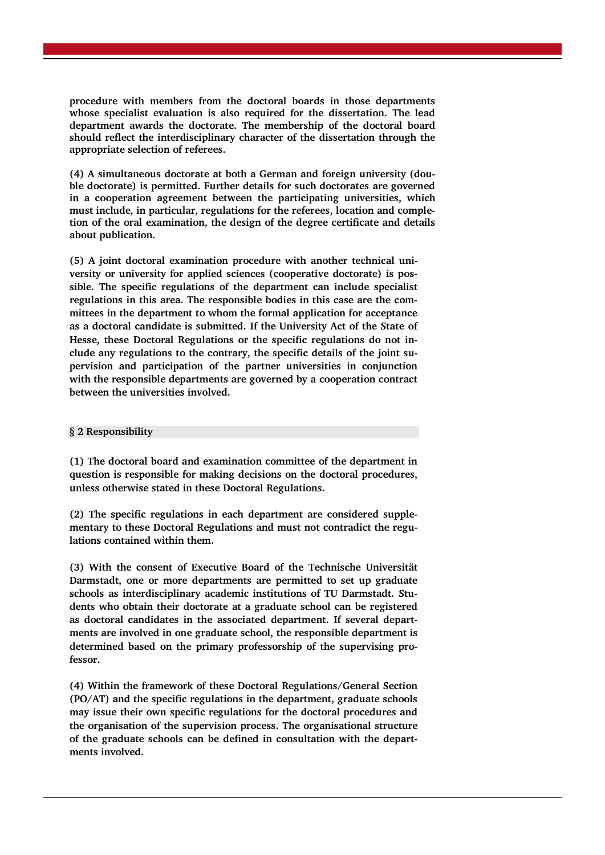**procedure with members from the doctoral boards in those departments whose specialist evaluation is also required for the dissertation. The lead department awards the doctorate. The membership of the doctoral board should reflect the interdisciplinary character of the dissertation through the appropriate selection of referees.**

**(4) A simultaneous doctorate at both a German and foreign university (double doctorate) is permitted. Further details for such doctorates are governed in a cooperation agreement between the participating universities, which must include, in particular, regulations for the referees, location and completion of the oral examination, the design of the degree certificate and details about publication.**

**(5) A joint doctoral examination procedure with another technical university or university for applied sciences (cooperative doctorate) is possible. The specific regulations of the department can include specialist regulations in this area. The responsible bodies in this case are the committees in the department to whom the formal application for acceptance as a doctoral candidate is submitted. If the University Act of the State of Hesse, these Doctoral Regulations or the specific regulations do not include any regulations to the contrary, the specific details of the joint supervision and participation of the partner universities in conjunction with the responsible departments are governed by a cooperation contract between the universities involved.**

# **§ 2 Responsibility**

**(1) The doctoral board and examination committee of the department in question is responsible for making decisions on the doctoral procedures, unless otherwise stated in these Doctoral Regulations.**

**(2) The specific regulations in each department are considered supplementary to these Doctoral Regulations and must not contradict the regulations contained within them.**

**(3) With the consent of Executive Board of the Technische Universität Darmstadt, one or more departments are permitted to set up graduate schools as interdisciplinary academic institutions of TU Darmstadt. Students who obtain their doctorate at a graduate school can be registered as doctoral candidates in the associated department. If several departments are involved in one graduate school, the responsible department is determined based on the primary professorship of the supervising professor.**

**(4) Within the framework of these Doctoral Regulations/General Section (PO/AT) and the specific regulations in the department, graduate schools may issue their own specific regulations for the doctoral procedures and the organisation of the supervision process. The organisational structure of the graduate schools can be defined in consultation with the departments involved.**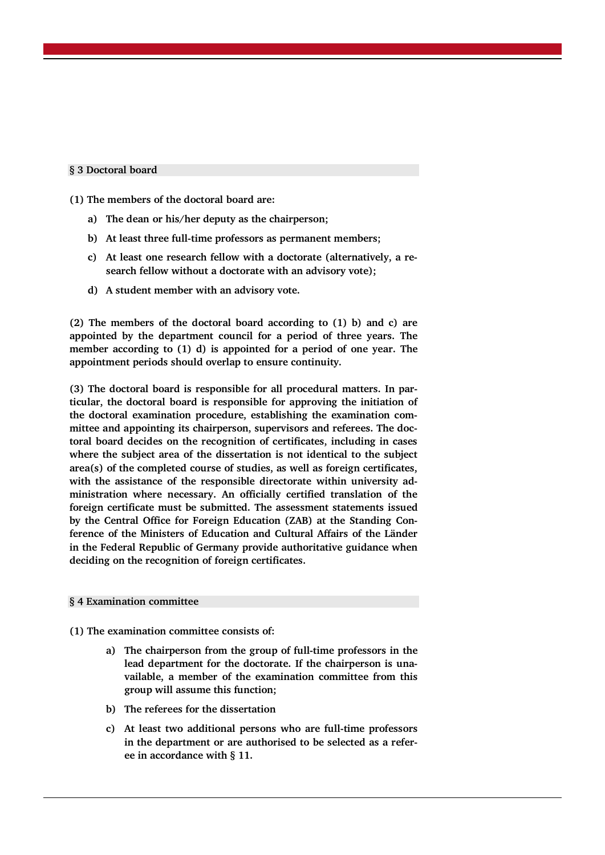# **§ 3 Doctoral board**

**(1) The members of the doctoral board are:**

- **a) The dean or his/her deputy as the chairperson;**
- **b) At least three full-time professors as permanent members;**
- **c) At least one research fellow with a doctorate (alternatively, a research fellow without a doctorate with an advisory vote);**
- **d) A student member with an advisory vote.**

**(2) The members of the doctoral board according to (1) b) and c) are appointed by the department council for a period of three years. The member according to (1) d) is appointed for a period of one year. The appointment periods should overlap to ensure continuity.**

**(3) The doctoral board is responsible for all procedural matters. In particular, the doctoral board is responsible for approving the initiation of the doctoral examination procedure, establishing the examination committee and appointing its chairperson, supervisors and referees. The doctoral board decides on the recognition of certificates, including in cases where the subject area of the dissertation is not identical to the subject area(s) of the completed course of studies, as well as foreign certificates, with the assistance of the responsible directorate within university administration where necessary. An officially certified translation of the foreign certificate must be submitted. The assessment statements issued by the Central Office for Foreign Education (ZAB) at the Standing Conference of the Ministers of Education and Cultural Affairs of the Länder in the Federal Republic of Germany provide authoritative guidance when deciding on the recognition of foreign certificates.**

#### **§ 4 Examination committee**

**(1) The examination committee consists of:**

- **a) The chairperson from the group of full-time professors in the lead department for the doctorate. If the chairperson is unavailable, a member of the examination committee from this group will assume this function;**
- **b) The referees for the dissertation**
- **c) At least two additional persons who are full-time professors in the department or are authorised to be selected as a referee in accordance with § 11.**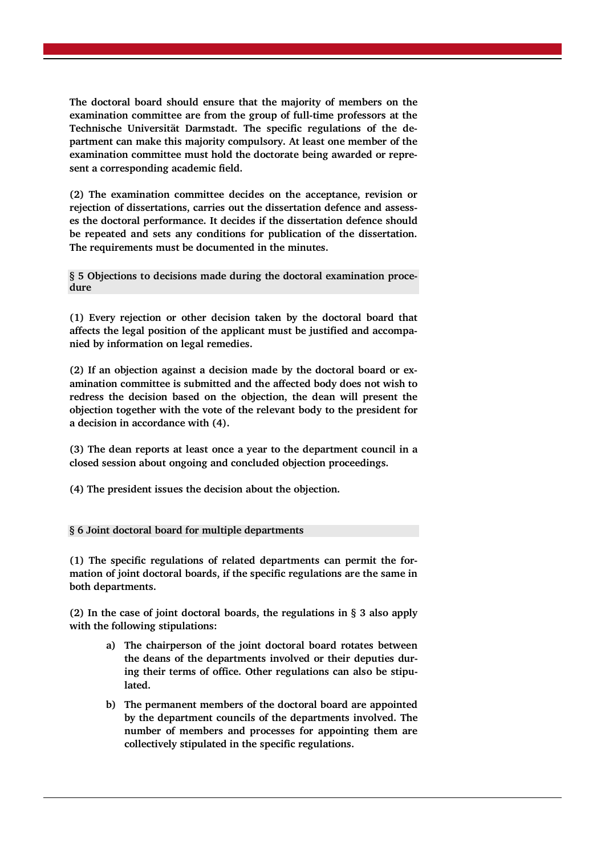**The doctoral board should ensure that the majority of members on the examination committee are from the group of full-time professors at the Technische Universität Darmstadt. The specific regulations of the department can make this majority compulsory. At least one member of the examination committee must hold the doctorate being awarded or represent a corresponding academic field.** 

**(2) The examination committee decides on the acceptance, revision or rejection of dissertations, carries out the dissertation defence and assesses the doctoral performance. It decides if the dissertation defence should be repeated and sets any conditions for publication of the dissertation. The requirements must be documented in the minutes.** 

**§ 5 Objections to decisions made during the doctoral examination procedure**

**(1) Every rejection or other decision taken by the doctoral board that affects the legal position of the applicant must be justified and accompanied by information on legal remedies.**

**(2) If an objection against a decision made by the doctoral board or examination committee is submitted and the affected body does not wish to redress the decision based on the objection, the dean will present the objection together with the vote of the relevant body to the president for a decision in accordance with (4).**

**(3) The dean reports at least once a year to the department council in a closed session about ongoing and concluded objection proceedings.**

**(4) The president issues the decision about the objection.**

# **§ 6 Joint doctoral board for multiple departments**

**(1) The specific regulations of related departments can permit the formation of joint doctoral boards, if the specific regulations are the same in both departments.**

**(2) In the case of joint doctoral boards, the regulations in § 3 also apply with the following stipulations:** 

- **a) The chairperson of the joint doctoral board rotates between the deans of the departments involved or their deputies during their terms of office. Other regulations can also be stipulated.**
- **b) The permanent members of the doctoral board are appointed by the department councils of the departments involved. The number of members and processes for appointing them are collectively stipulated in the specific regulations.**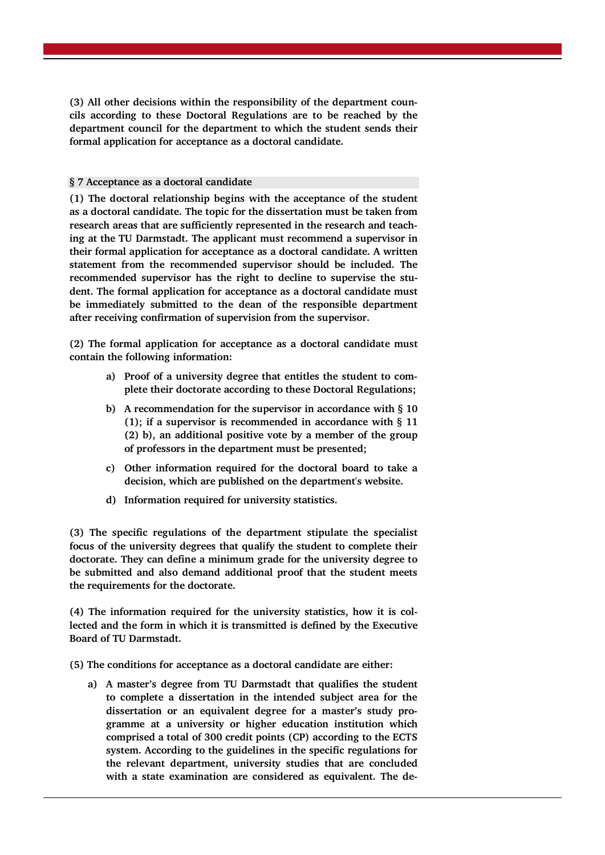**(3) All other decisions within the responsibility of the department councils according to these Doctoral Regulations are to be reached by the department council for the department to which the student sends their formal application for acceptance as a doctoral candidate.** 

# **§ 7 Acceptance as a doctoral candidate**

**(1) The doctoral relationship begins with the acceptance of the student as a doctoral candidate. The topic for the dissertation must be taken from research areas that are sufficiently represented in the research and teaching at the TU Darmstadt. The applicant must recommend a supervisor in their formal application for acceptance as a doctoral candidate. A written statement from the recommended supervisor should be included. The recommended supervisor has the right to decline to supervise the student. The formal application for acceptance as a doctoral candidate must be immediately submitted to the dean of the responsible department after receiving confirmation of supervision from the supervisor.**

**(2) The formal application for acceptance as a doctoral candidate must contain the following information:**

- **a) Proof of a university degree that entitles the student to complete their doctorate according to these Doctoral Regulations;**
- **b) A recommendation for the supervisor in accordance with § 10 (1); if a supervisor is recommended in accordance with § 11 (2) b), an additional positive vote by a member of the group of professors in the department must be presented;**
- **c) Other information required for the doctoral board to take a decision, which are published on the department's website.**
- **d) Information required for university statistics.**

**(3) The specific regulations of the department stipulate the specialist focus of the university degrees that qualify the student to complete their doctorate. They can define a minimum grade for the university degree to be submitted and also demand additional proof that the student meets the requirements for the doctorate.**

**(4) The information required for the university statistics, how it is collected and the form in which it is transmitted is defined by the Executive Board of TU Darmstadt.**

**(5) The conditions for acceptance as a doctoral candidate are either:** 

**a) A master's degree from TU Darmstadt that qualifies the student to complete a dissertation in the intended subject area for the dissertation or an equivalent degree for a master's study programme at a university or higher education institution which comprised a total of 300 credit points (CP) according to the ECTS system. According to the guidelines in the specific regulations for the relevant department, university studies that are concluded with a state examination are considered as equivalent. The de-**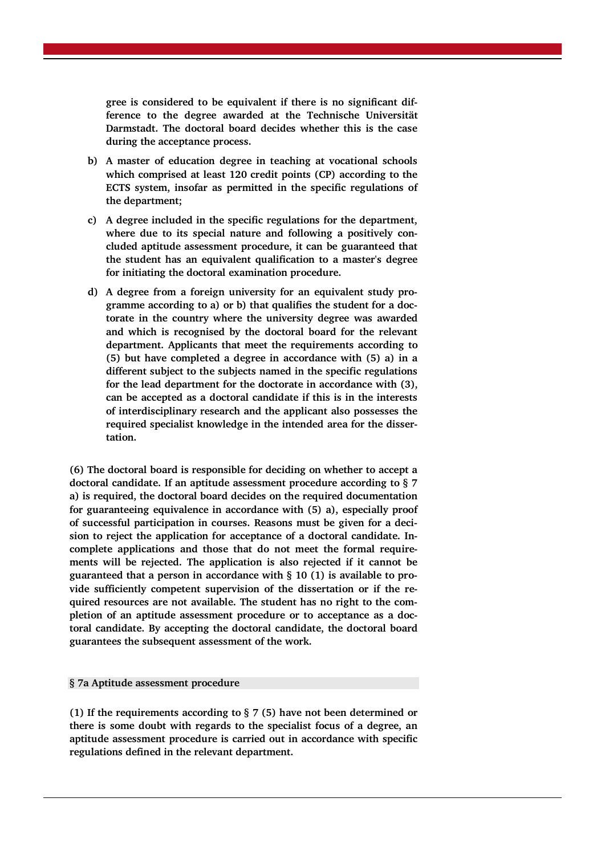**gree is considered to be equivalent if there is no significant difference to the degree awarded at the Technische Universität Darmstadt. The doctoral board decides whether this is the case during the acceptance process.**

- **b) A master of education degree in teaching at vocational schools which comprised at least 120 credit points (CP) according to the ECTS system, insofar as permitted in the specific regulations of the department;**
- **c) A degree included in the specific regulations for the department, where due to its special nature and following a positively concluded aptitude assessment procedure, it can be guaranteed that the student has an equivalent qualification to a master's degree for initiating the doctoral examination procedure.**
- **d) A degree from a foreign university for an equivalent study programme according to a) or b) that qualifies the student for a doctorate in the country where the university degree was awarded and which is recognised by the doctoral board for the relevant department. Applicants that meet the requirements according to (5) but have completed a degree in accordance with (5) a) in a different subject to the subjects named in the specific regulations for the lead department for the doctorate in accordance with (3), can be accepted as a doctoral candidate if this is in the interests of interdisciplinary research and the applicant also possesses the required specialist knowledge in the intended area for the dissertation.**

**(6) The doctoral board is responsible for deciding on whether to accept a doctoral candidate. If an aptitude assessment procedure according to § 7 a) is required, the doctoral board decides on the required documentation for guaranteeing equivalence in accordance with (5) a), especially proof of successful participation in courses. Reasons must be given for a decision to reject the application for acceptance of a doctoral candidate. Incomplete applications and those that do not meet the formal requirements will be rejected. The application is also rejected if it cannot be guaranteed that a person in accordance with § 10 (1) is available to provide sufficiently competent supervision of the dissertation or if the required resources are not available. The student has no right to the completion of an aptitude assessment procedure or to acceptance as a doctoral candidate. By accepting the doctoral candidate, the doctoral board guarantees the subsequent assessment of the work.**

# **§ 7a Aptitude assessment procedure**

**(1) If the requirements according to § 7 (5) have not been determined or there is some doubt with regards to the specialist focus of a degree, an aptitude assessment procedure is carried out in accordance with specific regulations defined in the relevant department.**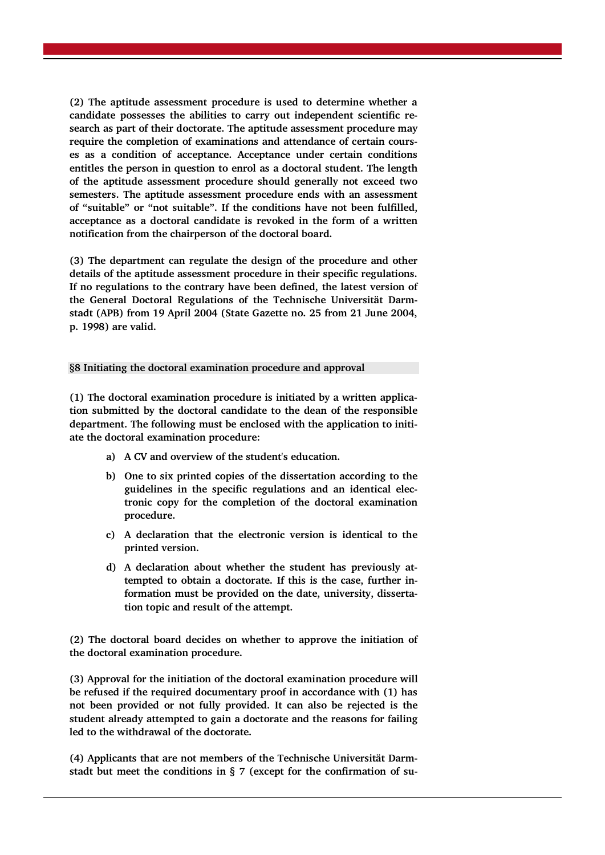**(2) The aptitude assessment procedure is used to determine whether a candidate possesses the abilities to carry out independent scientific research as part of their doctorate. The aptitude assessment procedure may require the completion of examinations and attendance of certain courses as a condition of acceptance. Acceptance under certain conditions entitles the person in question to enrol as a doctoral student. The length of the aptitude assessment procedure should generally not exceed two semesters. The aptitude assessment procedure ends with an assessment of "suitable" or "not suitable". If the conditions have not been fulfilled, acceptance as a doctoral candidate is revoked in the form of a written notification from the chairperson of the doctoral board.** 

**(3) The department can regulate the design of the procedure and other details of the aptitude assessment procedure in their specific regulations. If no regulations to the contrary have been defined, the latest version of the General Doctoral Regulations of the Technische Universität Darmstadt (APB) from 19 April 2004 (State Gazette no. 25 from 21 June 2004, p. 1998) are valid.**

# **§8 Initiating the doctoral examination procedure and approval**

**(1) The doctoral examination procedure is initiated by a written application submitted by the doctoral candidate to the dean of the responsible department. The following must be enclosed with the application to initiate the doctoral examination procedure:** 

- **a) A CV and overview of the student's education.**
- **b) One to six printed copies of the dissertation according to the guidelines in the specific regulations and an identical electronic copy for the completion of the doctoral examination procedure.**
- **c) A declaration that the electronic version is identical to the printed version.**
- **d) A declaration about whether the student has previously attempted to obtain a doctorate. If this is the case, further information must be provided on the date, university, dissertation topic and result of the attempt.**

**(2) The doctoral board decides on whether to approve the initiation of the doctoral examination procedure.** 

**(3) Approval for the initiation of the doctoral examination procedure will be refused if the required documentary proof in accordance with (1) has not been provided or not fully provided. It can also be rejected is the student already attempted to gain a doctorate and the reasons for failing led to the withdrawal of the doctorate.** 

**(4) Applicants that are not members of the Technische Universität Darmstadt but meet the conditions in § 7 (except for the confirmation of su-**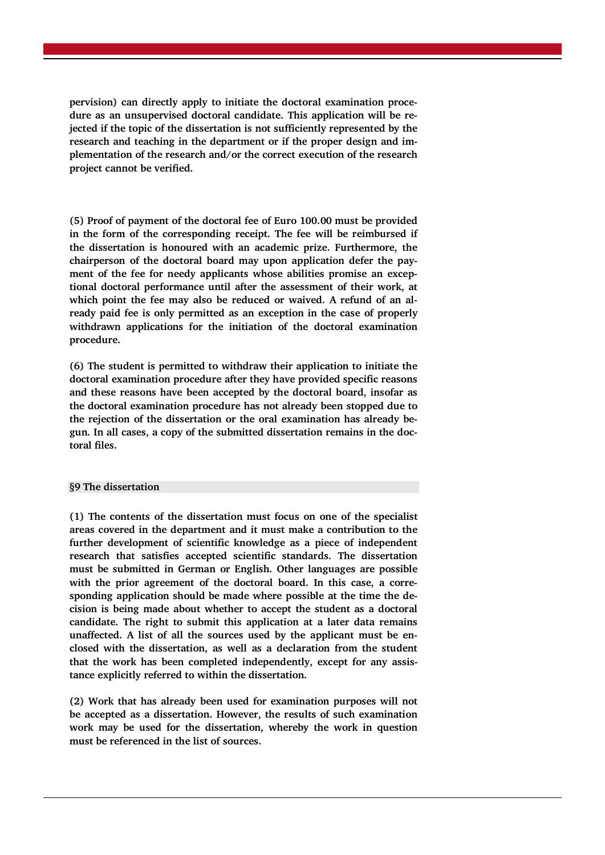**pervision) can directly apply to initiate the doctoral examination procedure as an unsupervised doctoral candidate. This application will be rejected if the topic of the dissertation is not sufficiently represented by the research and teaching in the department or if the proper design and implementation of the research and/or the correct execution of the research project cannot be verified.**

**(5) Proof of payment of the doctoral fee of Euro 100.00 must be provided in the form of the corresponding receipt. The fee will be reimbursed if the dissertation is honoured with an academic prize. Furthermore, the chairperson of the doctoral board may upon application defer the payment of the fee for needy applicants whose abilities promise an exceptional doctoral performance until after the assessment of their work, at which point the fee may also be reduced or waived. A refund of an already paid fee is only permitted as an exception in the case of properly withdrawn applications for the initiation of the doctoral examination procedure.**

**(6) The student is permitted to withdraw their application to initiate the doctoral examination procedure after they have provided specific reasons and these reasons have been accepted by the doctoral board, insofar as the doctoral examination procedure has not already been stopped due to the rejection of the dissertation or the oral examination has already begun. In all cases, a copy of the submitted dissertation remains in the doctoral files.**

# **§9 The dissertation**

**(1) The contents of the dissertation must focus on one of the specialist areas covered in the department and it must make a contribution to the further development of scientific knowledge as a piece of independent research that satisfies accepted scientific standards. The dissertation must be submitted in German or English. Other languages are possible with the prior agreement of the doctoral board. In this case, a corresponding application should be made where possible at the time the decision is being made about whether to accept the student as a doctoral candidate. The right to submit this application at a later data remains unaffected. A list of all the sources used by the applicant must be enclosed with the dissertation, as well as a declaration from the student that the work has been completed independently, except for any assistance explicitly referred to within the dissertation.** 

**(2) Work that has already been used for examination purposes will not be accepted as a dissertation. However, the results of such examination work may be used for the dissertation, whereby the work in question must be referenced in the list of sources.**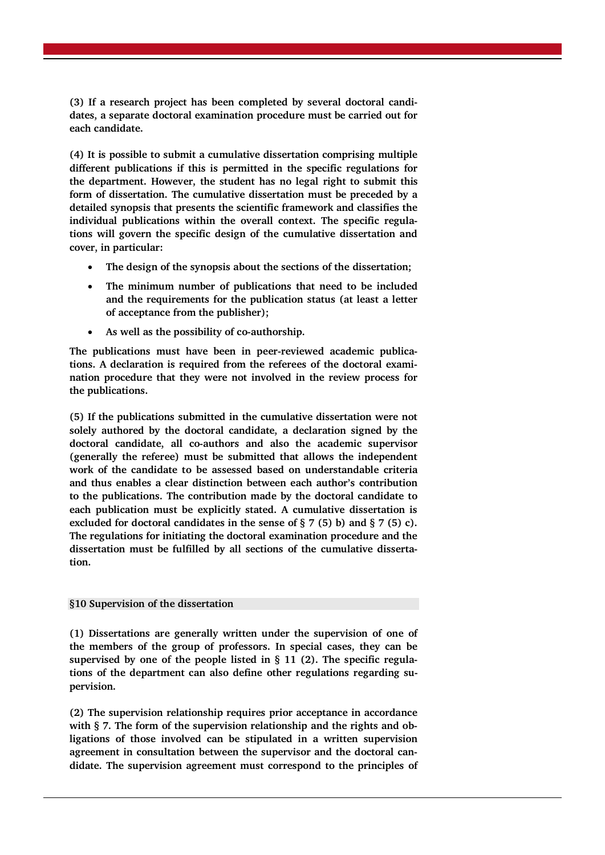**(3) If a research project has been completed by several doctoral candidates, a separate doctoral examination procedure must be carried out for each candidate.** 

**(4) It is possible to submit a cumulative dissertation comprising multiple different publications if this is permitted in the specific regulations for the department. However, the student has no legal right to submit this form of dissertation. The cumulative dissertation must be preceded by a detailed synopsis that presents the scientific framework and classifies the individual publications within the overall context. The specific regulations will govern the specific design of the cumulative dissertation and cover, in particular:** 

- **The design of the synopsis about the sections of the dissertation;**
- **The minimum number of publications that need to be included and the requirements for the publication status (at least a letter of acceptance from the publisher);**
- **As well as the possibility of co-authorship.**

**The publications must have been in peer-reviewed academic publications. A declaration is required from the referees of the doctoral examination procedure that they were not involved in the review process for the publications.** 

**(5) If the publications submitted in the cumulative dissertation were not solely authored by the doctoral candidate, a declaration signed by the doctoral candidate, all co-authors and also the academic supervisor (generally the referee) must be submitted that allows the independent work of the candidate to be assessed based on understandable criteria and thus enables a clear distinction between each author's contribution to the publications. The contribution made by the doctoral candidate to each publication must be explicitly stated. A cumulative dissertation is excluded for doctoral candidates in the sense of § 7 (5) b) and § 7 (5) c). The regulations for initiating the doctoral examination procedure and the dissertation must be fulfilled by all sections of the cumulative dissertation.** 

# **§10 Supervision of the dissertation**

**(1) Dissertations are generally written under the supervision of one of the members of the group of professors. In special cases, they can be supervised by one of the people listed in § 11 (2). The specific regulations of the department can also define other regulations regarding supervision.** 

**(2) The supervision relationship requires prior acceptance in accordance with § 7. The form of the supervision relationship and the rights and obligations of those involved can be stipulated in a written supervision agreement in consultation between the supervisor and the doctoral candidate. The supervision agreement must correspond to the principles of**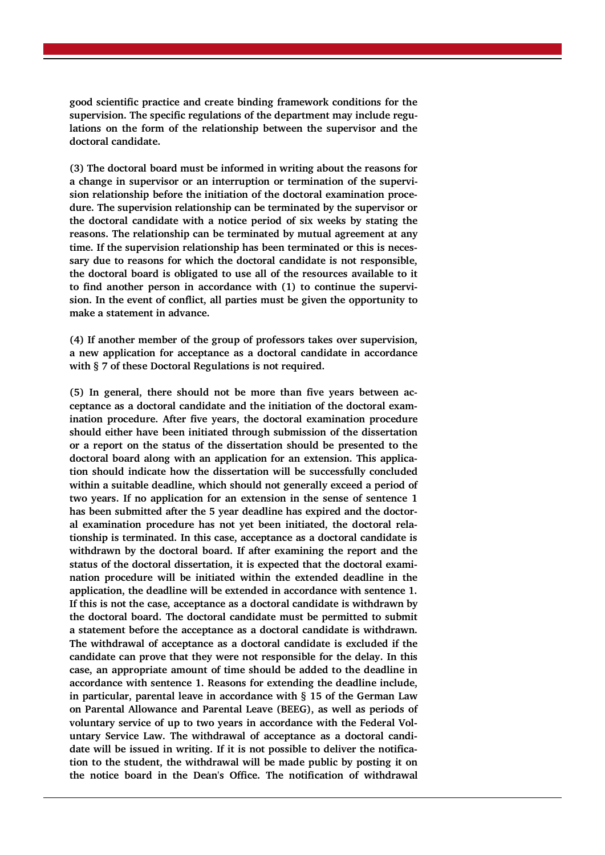**good scientific practice and create binding framework conditions for the supervision. The specific regulations of the department may include regulations on the form of the relationship between the supervisor and the doctoral candidate.**

**(3) The doctoral board must be informed in writing about the reasons for a change in supervisor or an interruption or termination of the supervision relationship before the initiation of the doctoral examination procedure. The supervision relationship can be terminated by the supervisor or the doctoral candidate with a notice period of six weeks by stating the reasons. The relationship can be terminated by mutual agreement at any time. If the supervision relationship has been terminated or this is necessary due to reasons for which the doctoral candidate is not responsible, the doctoral board is obligated to use all of the resources available to it to find another person in accordance with (1) to continue the supervision. In the event of conflict, all parties must be given the opportunity to make a statement in advance.**

**(4) If another member of the group of professors takes over supervision, a new application for acceptance as a doctoral candidate in accordance with § 7 of these Doctoral Regulations is not required.**

**(5) In general, there should not be more than five years between acceptance as a doctoral candidate and the initiation of the doctoral examination procedure. After five years, the doctoral examination procedure should either have been initiated through submission of the dissertation or a report on the status of the dissertation should be presented to the doctoral board along with an application for an extension. This application should indicate how the dissertation will be successfully concluded within a suitable deadline, which should not generally exceed a period of two years. If no application for an extension in the sense of sentence 1 has been submitted after the 5 year deadline has expired and the doctoral examination procedure has not yet been initiated, the doctoral relationship is terminated. In this case, acceptance as a doctoral candidate is withdrawn by the doctoral board. If after examining the report and the status of the doctoral dissertation, it is expected that the doctoral examination procedure will be initiated within the extended deadline in the application, the deadline will be extended in accordance with sentence 1. If this is not the case, acceptance as a doctoral candidate is withdrawn by the doctoral board. The doctoral candidate must be permitted to submit a statement before the acceptance as a doctoral candidate is withdrawn. The withdrawal of acceptance as a doctoral candidate is excluded if the candidate can prove that they were not responsible for the delay. In this case, an appropriate amount of time should be added to the deadline in accordance with sentence 1. Reasons for extending the deadline include, in particular, parental leave in accordance with § 15 of the German Law on Parental Allowance and Parental Leave (BEEG), as well as periods of voluntary service of up to two years in accordance with the Federal Voluntary Service Law. The withdrawal of acceptance as a doctoral candidate will be issued in writing. If it is not possible to deliver the notification to the student, the withdrawal will be made public by posting it on the notice board in the Dean's Office. The notification of withdrawal**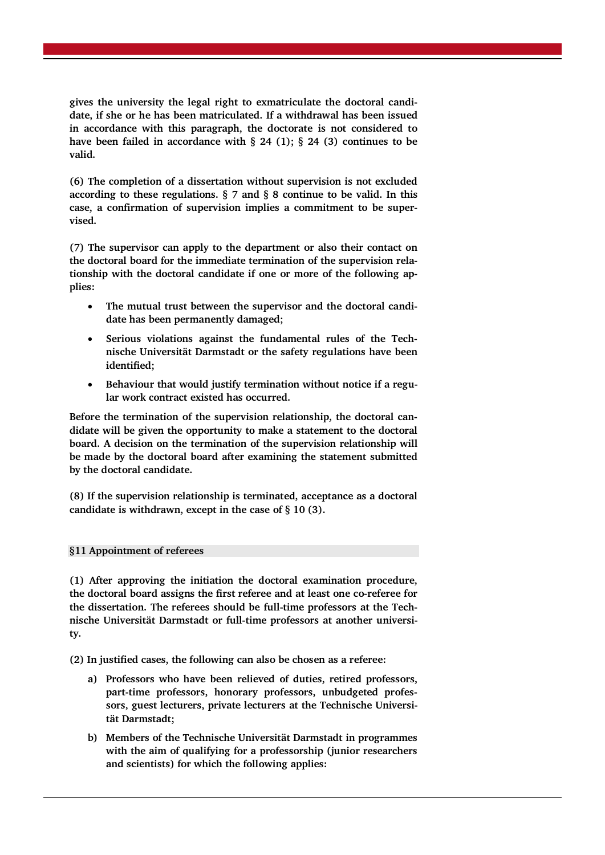**gives the university the legal right to exmatriculate the doctoral candidate, if she or he has been matriculated. If a withdrawal has been issued in accordance with this paragraph, the doctorate is not considered to have been failed in accordance with § 24 (1); § 24 (3) continues to be valid.** 

**(6) The completion of a dissertation without supervision is not excluded according to these regulations. § 7 and § 8 continue to be valid. In this case, a confirmation of supervision implies a commitment to be supervised.**

**(7) The supervisor can apply to the department or also their contact on the doctoral board for the immediate termination of the supervision relationship with the doctoral candidate if one or more of the following applies:**

- **The mutual trust between the supervisor and the doctoral candidate has been permanently damaged;**
- Serious violations against the fundamental rules of the Tech**nische Universität Darmstadt or the safety regulations have been identified;**
- **Behaviour that would justify termination without notice if a regular work contract existed has occurred.**

**Before the termination of the supervision relationship, the doctoral candidate will be given the opportunity to make a statement to the doctoral board. A decision on the termination of the supervision relationship will be made by the doctoral board after examining the statement submitted by the doctoral candidate.**

**(8) If the supervision relationship is terminated, acceptance as a doctoral candidate is withdrawn, except in the case of § 10 (3).**

# **§11 Appointment of referees**

**(1) After approving the initiation the doctoral examination procedure, the doctoral board assigns the first referee and at least one co-referee for the dissertation. The referees should be full-time professors at the Technische Universität Darmstadt or full-time professors at another university.**

**(2) In justified cases, the following can also be chosen as a referee:**

- **a) Professors who have been relieved of duties, retired professors, part-time professors, honorary professors, unbudgeted professors, guest lecturers, private lecturers at the Technische Universität Darmstadt;**
- **b) Members of the Technische Universität Darmstadt in programmes with the aim of qualifying for a professorship (junior researchers and scientists) for which the following applies:**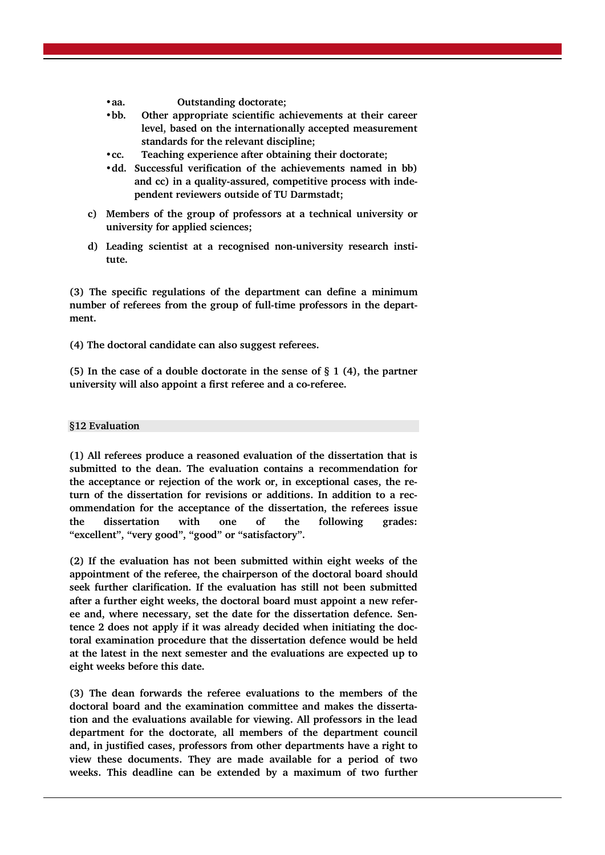- **•aa. Outstanding doctorate;**
- **•bb. Other appropriate scientific achievements at their career level, based on the internationally accepted measurement standards for the relevant discipline;**
- **•cc. Teaching experience after obtaining their doctorate;**
- **•dd. Successful verification of the achievements named in bb) and cc) in a quality-assured, competitive process with independent reviewers outside of TU Darmstadt;**
- **c) Members of the group of professors at a technical university or university for applied sciences;**
- **d) Leading scientist at a recognised non-university research institute.**

**(3) The specific regulations of the department can define a minimum number of referees from the group of full-time professors in the department.**

**(4) The doctoral candidate can also suggest referees.**

**(5) In the case of a double doctorate in the sense of § 1 (4), the partner university will also appoint a first referee and a co-referee.**

#### **§12 Evaluation**

**(1) All referees produce a reasoned evaluation of the dissertation that is submitted to the dean. The evaluation contains a recommendation for the acceptance or rejection of the work or, in exceptional cases, the return of the dissertation for revisions or additions. In addition to a recommendation for the acceptance of the dissertation, the referees issue the dissertation with one of the following grades: "excellent", "very good", "good" or "satisfactory".** 

**(2) If the evaluation has not been submitted within eight weeks of the appointment of the referee, the chairperson of the doctoral board should seek further clarification. If the evaluation has still not been submitted after a further eight weeks, the doctoral board must appoint a new referee and, where necessary, set the date for the dissertation defence. Sentence 2 does not apply if it was already decided when initiating the doctoral examination procedure that the dissertation defence would be held at the latest in the next semester and the evaluations are expected up to eight weeks before this date.**

**(3) The dean forwards the referee evaluations to the members of the doctoral board and the examination committee and makes the dissertation and the evaluations available for viewing. All professors in the lead department for the doctorate, all members of the department council and, in justified cases, professors from other departments have a right to view these documents. They are made available for a period of two weeks. This deadline can be extended by a maximum of two further**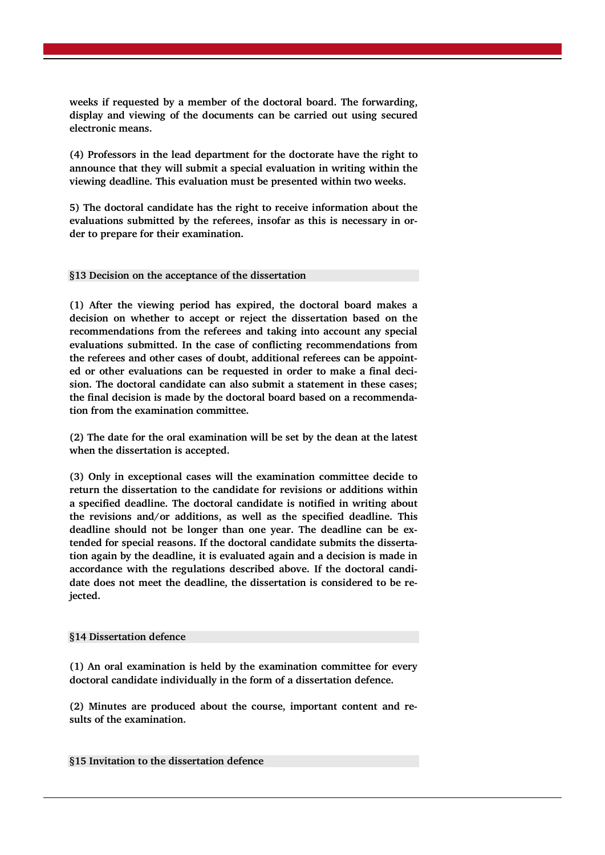**weeks if requested by a member of the doctoral board. The forwarding, display and viewing of the documents can be carried out using secured electronic means.**

**(4) Professors in the lead department for the doctorate have the right to announce that they will submit a special evaluation in writing within the viewing deadline. This evaluation must be presented within two weeks.**

**5) The doctoral candidate has the right to receive information about the evaluations submitted by the referees, insofar as this is necessary in order to prepare for their examination.**

### **§13 Decision on the acceptance of the dissertation**

**(1) After the viewing period has expired, the doctoral board makes a decision on whether to accept or reject the dissertation based on the recommendations from the referees and taking into account any special evaluations submitted. In the case of conflicting recommendations from the referees and other cases of doubt, additional referees can be appointed or other evaluations can be requested in order to make a final decision. The doctoral candidate can also submit a statement in these cases; the final decision is made by the doctoral board based on a recommendation from the examination committee.**

**(2) The date for the oral examination will be set by the dean at the latest when the dissertation is accepted.**

**(3) Only in exceptional cases will the examination committee decide to return the dissertation to the candidate for revisions or additions within a specified deadline. The doctoral candidate is notified in writing about the revisions and/or additions, as well as the specified deadline. This deadline should not be longer than one year. The deadline can be extended for special reasons. If the doctoral candidate submits the dissertation again by the deadline, it is evaluated again and a decision is made in accordance with the regulations described above. If the doctoral candidate does not meet the deadline, the dissertation is considered to be rejected.** 

#### **§14 Dissertation defence**

**(1) An oral examination is held by the examination committee for every doctoral candidate individually in the form of a dissertation defence.**

**(2) Minutes are produced about the course, important content and results of the examination.**

# **§15 Invitation to the dissertation defence**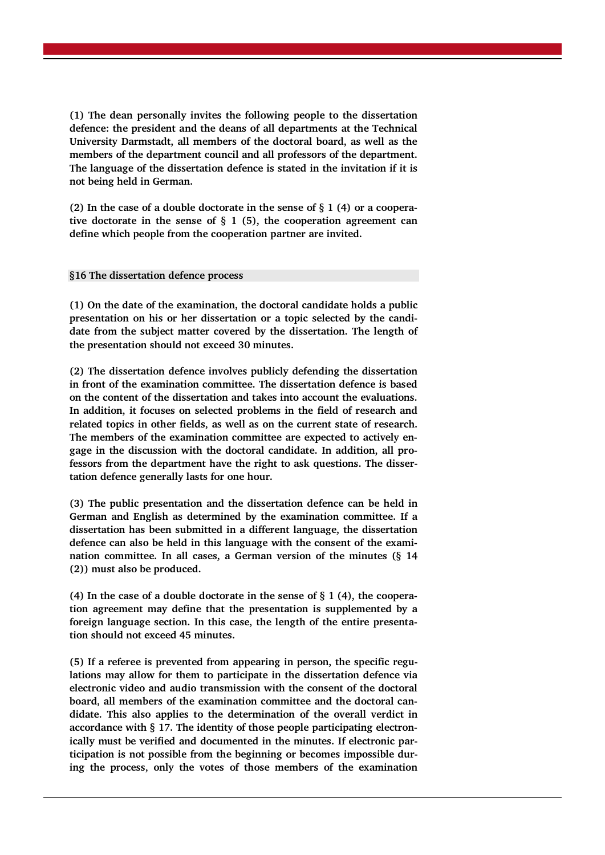**(1) The dean personally invites the following people to the dissertation defence: the president and the deans of all departments at the Technical University Darmstadt, all members of the doctoral board, as well as the members of the department council and all professors of the department. The language of the dissertation defence is stated in the invitation if it is not being held in German.**

**(2) In the case of a double doctorate in the sense of § 1 (4) or a cooperative doctorate in the sense of § 1 (5), the cooperation agreement can define which people from the cooperation partner are invited.**

### **§16 The dissertation defence process**

**(1) On the date of the examination, the doctoral candidate holds a public presentation on his or her dissertation or a topic selected by the candidate from the subject matter covered by the dissertation. The length of the presentation should not exceed 30 minutes.**

**(2) The dissertation defence involves publicly defending the dissertation in front of the examination committee. The dissertation defence is based on the content of the dissertation and takes into account the evaluations. In addition, it focuses on selected problems in the field of research and related topics in other fields, as well as on the current state of research. The members of the examination committee are expected to actively engage in the discussion with the doctoral candidate. In addition, all professors from the department have the right to ask questions. The dissertation defence generally lasts for one hour.** 

**(3) The public presentation and the dissertation defence can be held in German and English as determined by the examination committee. If a dissertation has been submitted in a different language, the dissertation defence can also be held in this language with the consent of the examination committee. In all cases, a German version of the minutes (§ 14 (2)) must also be produced.**

**(4) In the case of a double doctorate in the sense of § 1 (4), the cooperation agreement may define that the presentation is supplemented by a foreign language section. In this case, the length of the entire presentation should not exceed 45 minutes.** 

**(5) If a referee is prevented from appearing in person, the specific regulations may allow for them to participate in the dissertation defence via electronic video and audio transmission with the consent of the doctoral board, all members of the examination committee and the doctoral candidate. This also applies to the determination of the overall verdict in accordance with § 17. The identity of those people participating electronically must be verified and documented in the minutes. If electronic participation is not possible from the beginning or becomes impossible during the process, only the votes of those members of the examination**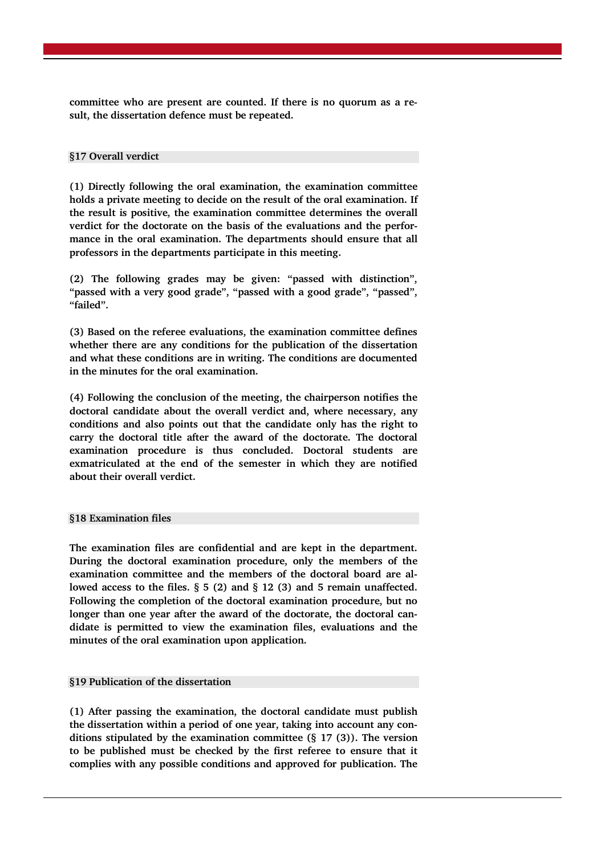**committee who are present are counted. If there is no quorum as a result, the dissertation defence must be repeated.**

### **§17 Overall verdict**

**(1) Directly following the oral examination, the examination committee holds a private meeting to decide on the result of the oral examination. If the result is positive, the examination committee determines the overall verdict for the doctorate on the basis of the evaluations and the performance in the oral examination. The departments should ensure that all professors in the departments participate in this meeting.**

**(2) The following grades may be given: "passed with distinction", "passed with a very good grade", "passed with a good grade", "passed", "failed".**

**(3) Based on the referee evaluations, the examination committee defines whether there are any conditions for the publication of the dissertation and what these conditions are in writing. The conditions are documented in the minutes for the oral examination.** 

**(4) Following the conclusion of the meeting, the chairperson notifies the doctoral candidate about the overall verdict and, where necessary, any conditions and also points out that the candidate only has the right to carry the doctoral title after the award of the doctorate. The doctoral examination procedure is thus concluded. Doctoral students are exmatriculated at the end of the semester in which they are notified about their overall verdict.** 

#### **§18 Examination files**

**The examination files are confidential and are kept in the department. During the doctoral examination procedure, only the members of the examination committee and the members of the doctoral board are allowed access to the files. § 5 (2) and § 12 (3) and 5 remain unaffected. Following the completion of the doctoral examination procedure, but no longer than one year after the award of the doctorate, the doctoral candidate is permitted to view the examination files, evaluations and the minutes of the oral examination upon application.**

# **§19 Publication of the dissertation**

**(1) After passing the examination, the doctoral candidate must publish the dissertation within a period of one year, taking into account any conditions stipulated by the examination committee (§ 17 (3)). The version to be published must be checked by the first referee to ensure that it complies with any possible conditions and approved for publication. The**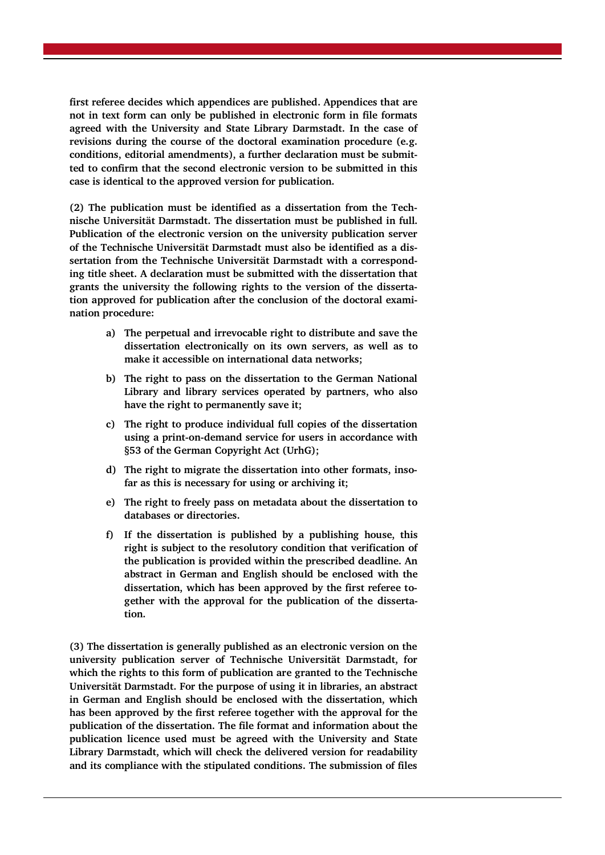**first referee decides which appendices are published. Appendices that are not in text form can only be published in electronic form in file formats agreed with the University and State Library Darmstadt. In the case of revisions during the course of the doctoral examination procedure (e.g. conditions, editorial amendments), a further declaration must be submitted to confirm that the second electronic version to be submitted in this case is identical to the approved version for publication.**

**(2) The publication must be identified as a dissertation from the Technische Universität Darmstadt. The dissertation must be published in full. Publication of the electronic version on the university publication server of the Technische Universität Darmstadt must also be identified as a dissertation from the Technische Universität Darmstadt with a corresponding title sheet. A declaration must be submitted with the dissertation that grants the university the following rights to the version of the dissertation approved for publication after the conclusion of the doctoral examination procedure:** 

- **a) The perpetual and irrevocable right to distribute and save the dissertation electronically on its own servers, as well as to make it accessible on international data networks;**
- **b) The right to pass on the dissertation to the German National Library and library services operated by partners, who also have the right to permanently save it;**
- **c) The right to produce individual full copies of the dissertation using a print-on-demand service for users in accordance with §53 of the German Copyright Act (UrhG);**
- **d) The right to migrate the dissertation into other formats, insofar as this is necessary for using or archiving it;**
- **e) The right to freely pass on metadata about the dissertation to databases or directories.**
- **f) If the dissertation is published by a publishing house, this right is subject to the resolutory condition that verification of the publication is provided within the prescribed deadline. An abstract in German and English should be enclosed with the dissertation, which has been approved by the first referee together with the approval for the publication of the dissertation.**

**(3) The dissertation is generally published as an electronic version on the university publication server of Technische Universität Darmstadt, for which the rights to this form of publication are granted to the Technische Universität Darmstadt. For the purpose of using it in libraries, an abstract in German and English should be enclosed with the dissertation, which has been approved by the first referee together with the approval for the publication of the dissertation. The file format and information about the publication licence used must be agreed with the University and State Library Darmstadt, which will check the delivered version for readability and its compliance with the stipulated conditions. The submission of files**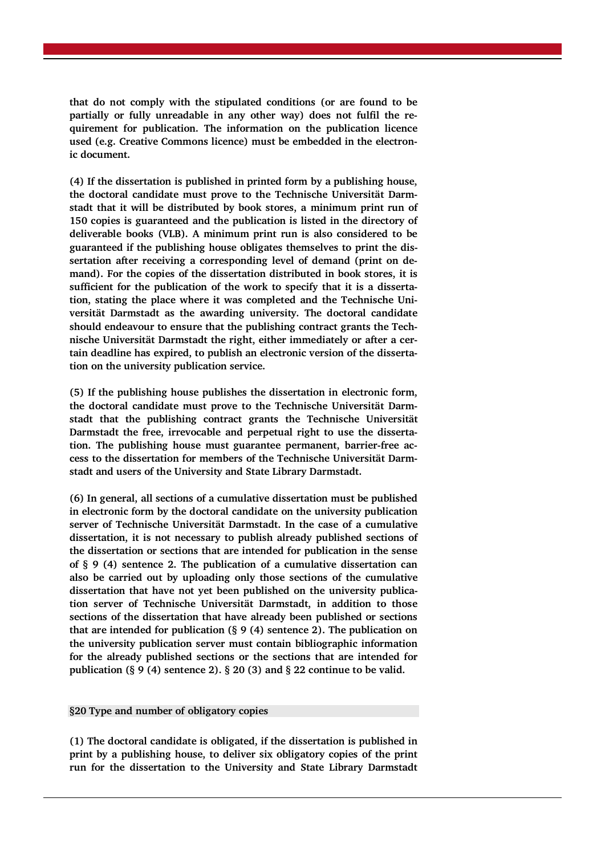**that do not comply with the stipulated conditions (or are found to be partially or fully unreadable in any other way) does not fulfil the requirement for publication. The information on the publication licence used (e.g. Creative Commons licence) must be embedded in the electronic document.** 

**(4) If the dissertation is published in printed form by a publishing house, the doctoral candidate must prove to the Technische Universität Darmstadt that it will be distributed by book stores, a minimum print run of 150 copies is guaranteed and the publication is listed in the directory of deliverable books (VLB). A minimum print run is also considered to be guaranteed if the publishing house obligates themselves to print the dissertation after receiving a corresponding level of demand (print on demand). For the copies of the dissertation distributed in book stores, it is sufficient for the publication of the work to specify that it is a dissertation, stating the place where it was completed and the Technische Universität Darmstadt as the awarding university. The doctoral candidate should endeavour to ensure that the publishing contract grants the Technische Universität Darmstadt the right, either immediately or after a certain deadline has expired, to publish an electronic version of the dissertation on the university publication service.** 

**(5) If the publishing house publishes the dissertation in electronic form, the doctoral candidate must prove to the Technische Universität Darmstadt that the publishing contract grants the Technische Universität Darmstadt the free, irrevocable and perpetual right to use the dissertation. The publishing house must guarantee permanent, barrier-free access to the dissertation for members of the Technische Universität Darmstadt and users of the University and State Library Darmstadt.**

**(6) In general, all sections of a cumulative dissertation must be published in electronic form by the doctoral candidate on the university publication server of Technische Universität Darmstadt. In the case of a cumulative dissertation, it is not necessary to publish already published sections of the dissertation or sections that are intended for publication in the sense of § 9 (4) sentence 2. The publication of a cumulative dissertation can also be carried out by uploading only those sections of the cumulative dissertation that have not yet been published on the university publication server of Technische Universität Darmstadt, in addition to those sections of the dissertation that have already been published or sections that are intended for publication (§ 9 (4) sentence 2). The publication on the university publication server must contain bibliographic information for the already published sections or the sections that are intended for publication (§ 9 (4) sentence 2). § 20 (3) and § 22 continue to be valid.**

**§20 Type and number of obligatory copies**

**(1) The doctoral candidate is obligated, if the dissertation is published in print by a publishing house, to deliver six obligatory copies of the print run for the dissertation to the University and State Library Darmstadt**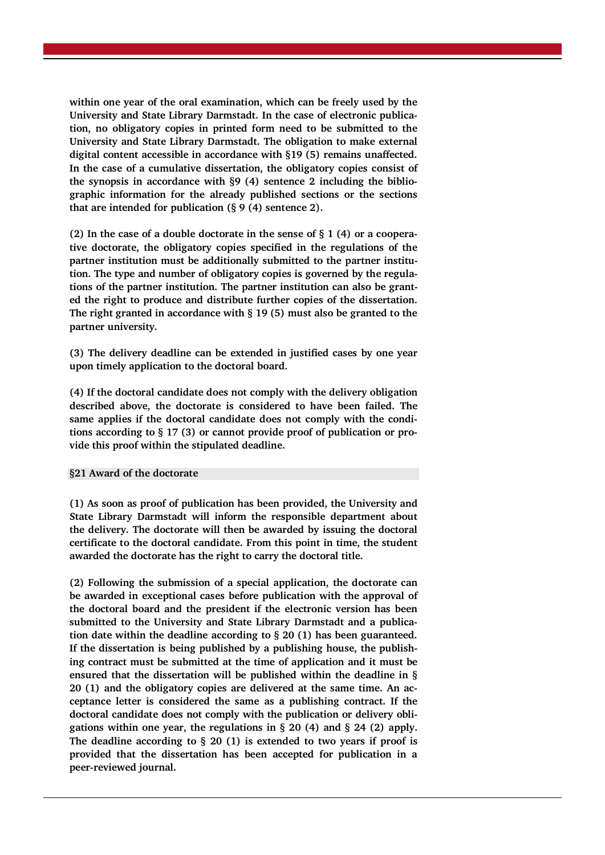**within one year of the oral examination, which can be freely used by the University and State Library Darmstadt. In the case of electronic publication, no obligatory copies in printed form need to be submitted to the University and State Library Darmstadt. The obligation to make external digital content accessible in accordance with §19 (5) remains unaffected. In the case of a cumulative dissertation, the obligatory copies consist of the synopsis in accordance with §9 (4) sentence 2 including the bibliographic information for the already published sections or the sections that are intended for publication (§ 9 (4) sentence 2).**

**(2) In the case of a double doctorate in the sense of § 1 (4) or a cooperative doctorate, the obligatory copies specified in the regulations of the partner institution must be additionally submitted to the partner institution. The type and number of obligatory copies is governed by the regulations of the partner institution. The partner institution can also be granted the right to produce and distribute further copies of the dissertation. The right granted in accordance with § 19 (5) must also be granted to the partner university.**

**(3) The delivery deadline can be extended in justified cases by one year upon timely application to the doctoral board.**

**(4) If the doctoral candidate does not comply with the delivery obligation described above, the doctorate is considered to have been failed. The same applies if the doctoral candidate does not comply with the conditions according to § 17 (3) or cannot provide proof of publication or provide this proof within the stipulated deadline.**

#### **§21 Award of the doctorate**

**(1) As soon as proof of publication has been provided, the University and State Library Darmstadt will inform the responsible department about the delivery. The doctorate will then be awarded by issuing the doctoral certificate to the doctoral candidate. From this point in time, the student awarded the doctorate has the right to carry the doctoral title.**

**(2) Following the submission of a special application, the doctorate can be awarded in exceptional cases before publication with the approval of the doctoral board and the president if the electronic version has been submitted to the University and State Library Darmstadt and a publication date within the deadline according to § 20 (1) has been guaranteed. If the dissertation is being published by a publishing house, the publishing contract must be submitted at the time of application and it must be ensured that the dissertation will be published within the deadline in § 20 (1) and the obligatory copies are delivered at the same time. An acceptance letter is considered the same as a publishing contract. If the doctoral candidate does not comply with the publication or delivery obligations within one year, the regulations in § 20 (4) and § 24 (2) apply. The deadline according to § 20 (1) is extended to two years if proof is provided that the dissertation has been accepted for publication in a peer-reviewed journal.**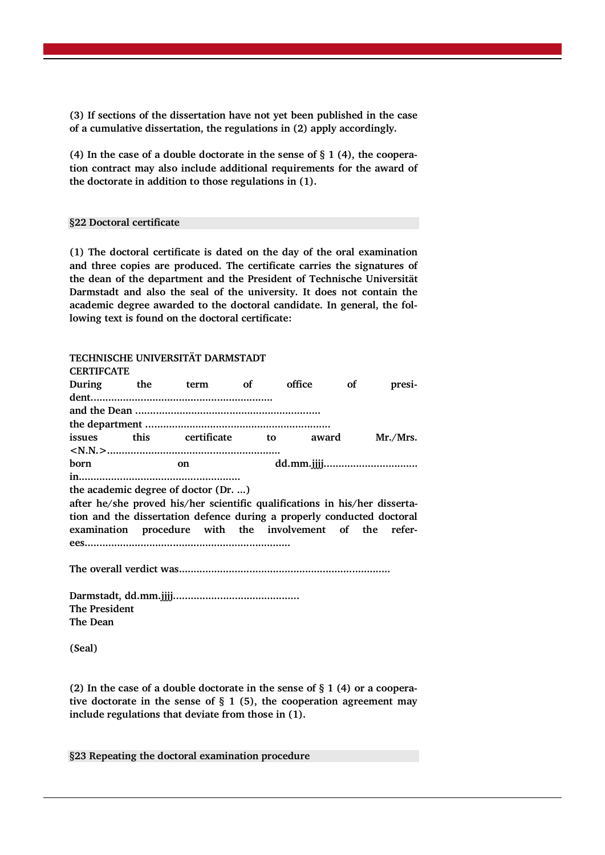**(3) If sections of the dissertation have not yet been published in the case of a cumulative dissertation, the regulations in (2) apply accordingly.**

**(4) In the case of a double doctorate in the sense of § 1 (4), the cooperation contract may also include additional requirements for the award of the doctorate in addition to those regulations in (1).**

#### **§22 Doctoral certificate**

**(1) The doctoral certificate is dated on the day of the oral examination and three copies are produced. The certificate carries the signatures of the dean of the department and the President of Technische Universität Darmstadt and also the seal of the university. It does not contain the academic degree awarded to the doctoral candidate. In general, the following text is found on the doctoral certificate:**

**TECHNISCHE UNIVERSITÄT DARMSTADT**

| <b>CERTIFCATE</b> |                                                                            |  |  |           |  |          |
|-------------------|----------------------------------------------------------------------------|--|--|-----------|--|----------|
|                   | During the term of                                                         |  |  | office of |  | presi-   |
|                   |                                                                            |  |  |           |  |          |
|                   |                                                                            |  |  |           |  |          |
|                   |                                                                            |  |  |           |  |          |
|                   | issues this certificate to award                                           |  |  |           |  | Mr./Mrs. |
|                   |                                                                            |  |  |           |  |          |
| born              | on                                                                         |  |  |           |  |          |
|                   |                                                                            |  |  |           |  |          |
|                   | the academic degree of doctor (Dr. )                                       |  |  |           |  |          |
|                   | after he/she proved his/her scientific qualifications in his/her disserta- |  |  |           |  |          |
|                   | tion and the dissertation defence during a properly conducted doctoral     |  |  |           |  |          |
|                   | examination procedure with the involvement of the refer-                   |  |  |           |  |          |
|                   |                                                                            |  |  |           |  |          |
|                   |                                                                            |  |  |           |  |          |
|                   |                                                                            |  |  |           |  |          |
|                   |                                                                            |  |  |           |  |          |
|                   |                                                                            |  |  |           |  |          |

**The Dean**

**The President**

**(Seal)**

**(2) In the case of a double doctorate in the sense of § 1 (4) or a cooperative doctorate in the sense of § 1 (5), the cooperation agreement may include regulations that deviate from those in (1).**

**§23 Repeating the doctoral examination procedure**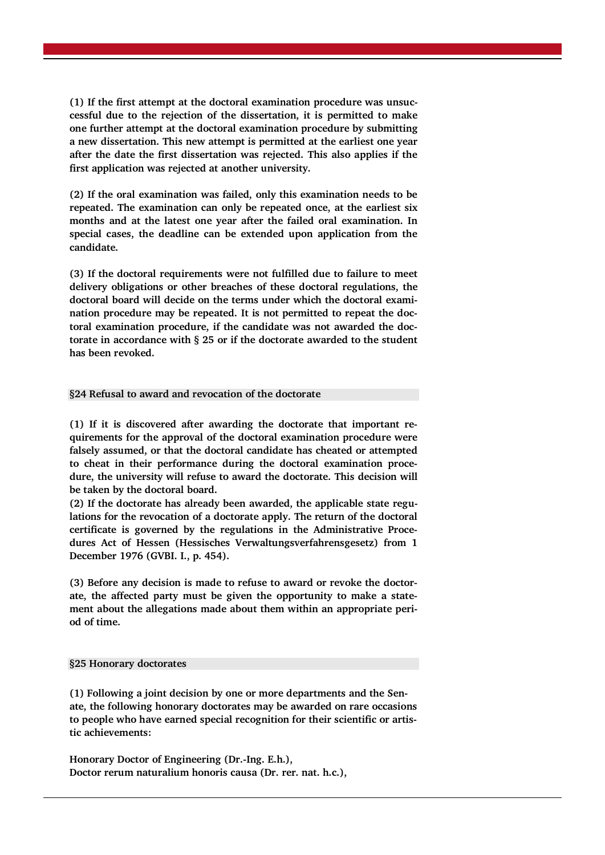**(1) If the first attempt at the doctoral examination procedure was unsuccessful due to the rejection of the dissertation, it is permitted to make one further attempt at the doctoral examination procedure by submitting a new dissertation. This new attempt is permitted at the earliest one year after the date the first dissertation was rejected. This also applies if the first application was rejected at another university.** 

**(2) If the oral examination was failed, only this examination needs to be repeated. The examination can only be repeated once, at the earliest six months and at the latest one year after the failed oral examination. In special cases, the deadline can be extended upon application from the candidate.**

**(3) If the doctoral requirements were not fulfilled due to failure to meet delivery obligations or other breaches of these doctoral regulations, the doctoral board will decide on the terms under which the doctoral examination procedure may be repeated. It is not permitted to repeat the doctoral examination procedure, if the candidate was not awarded the doctorate in accordance with § 25 or if the doctorate awarded to the student has been revoked.**

# **§24 Refusal to award and revocation of the doctorate**

**(1) If it is discovered after awarding the doctorate that important requirements for the approval of the doctoral examination procedure were falsely assumed, or that the doctoral candidate has cheated or attempted to cheat in their performance during the doctoral examination procedure, the university will refuse to award the doctorate. This decision will be taken by the doctoral board.** 

**(2) If the doctorate has already been awarded, the applicable state regulations for the revocation of a doctorate apply. The return of the doctoral certificate is governed by the regulations in the Administrative Procedures Act of Hessen (Hessisches Verwaltungsverfahrensgesetz) from 1 December 1976 (GVBI. I., p. 454).**

**(3) Before any decision is made to refuse to award or revoke the doctorate, the affected party must be given the opportunity to make a statement about the allegations made about them within an appropriate period of time.**

#### **§25 Honorary doctorates**

**(1) Following a joint decision by one or more departments and the Senate, the following honorary doctorates may be awarded on rare occasions to people who have earned special recognition for their scientific or artistic achievements:** 

**Honorary Doctor of Engineering (Dr.-Ing. E.h.), Doctor rerum naturalium honoris causa (Dr. rer. nat. h.c.),**